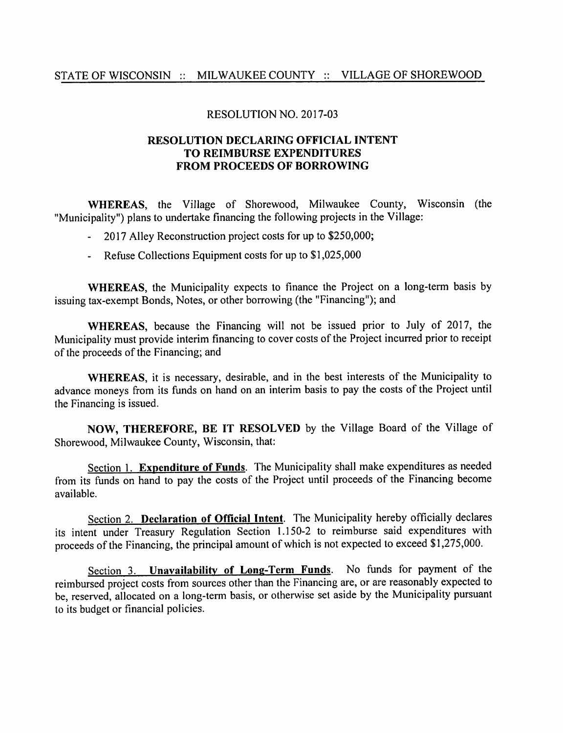## STATE OF WISCONSIN :: MILWAUKEE COUNTY :: VILLAGE OF SHOREWOOD

## RESOLUTION NO. 2017-03

## RESOLUTION DECLARING OFFICIAL INTENT TO REIMBURSE EXPENDITURES FROM PROCEEDS OF BORROWING

WHEREAS, the Village of Shorewood, Milwaukee County, Wisconsin (the "Municipality") plans to undertake financing the following projects in the Village:

- 2017 Alley Reconstruction project costs for up to \$250,000;  $\omega_{\rm{max}}$
- Refuse Collections Equipment costs for up to \$1,025,000

WHEREAS, the Municipality expects to finance the Project on a long-term basis by issuing tax-exempt Bonds, Notes, or other borrowing (the "Financing"); and

WHEREAS, because the Financing will not be issued prior to July of 2017, the Municipality must provide interim financing to cover costs of the Project incurred prior to receipt of the proceeds of the Financing; and

WHEREAS, it is necessary, desirable, and in the best interests of the Municipality to advance moneys from its funds on hand on an interim basis to pay the costs of the Project until the Financing is issued.

NOW, THEREFORE, BE IT RESOLVED by the Village Board of the Village of Shorewood, Milwaukee County, Wisconsin, that:

Section 1. Expenditure of Funds. The Municipality shall make expenditures as needed from its funds on hand to pay the costs of the Project until proceeds of the Financing become available.

Section 2. Declaration of Official Intent. The Municipality hereby officially declares its intent under Treasury Regulation Section 1.150-2 to reimburse said expenditures with proceeds of the Financing, the principal amount of which is not expected to exceed \$1,275,000.

Section 3. Unavailability of Long-Term Funds. No funds for payment of the reimbursed project costs from sources other than the Financing are, or are reasonably expected to be, reserved, allocated on a long-term basis, or otherwise set aside by the Municipality pursuant to its budget or financial policies.